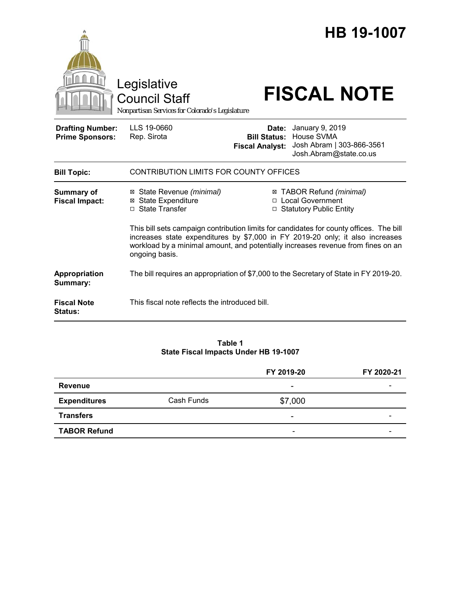|                                                   | Legislative<br><b>Council Staff</b><br>Nonpartisan Services for Colorado's Legislature                                                                                              |                                                                                                                                                                        | HB 19-1007<br><b>FISCAL NOTE</b>                                                                         |  |
|---------------------------------------------------|-------------------------------------------------------------------------------------------------------------------------------------------------------------------------------------|------------------------------------------------------------------------------------------------------------------------------------------------------------------------|----------------------------------------------------------------------------------------------------------|--|
| <b>Drafting Number:</b><br><b>Prime Sponsors:</b> | LLS 19-0660<br>Rep. Sirota                                                                                                                                                          | Date:<br><b>Fiscal Analyst:</b>                                                                                                                                        | January 9, 2019<br><b>Bill Status: House SVMA</b><br>Josh Abram   303-866-3561<br>Josh.Abram@state.co.us |  |
| <b>Bill Topic:</b>                                | <b>CONTRIBUTION LIMITS FOR COUNTY OFFICES</b>                                                                                                                                       |                                                                                                                                                                        |                                                                                                          |  |
| <b>Summary of</b><br><b>Fiscal Impact:</b>        | ⊠ State Revenue (minimal)<br><b>⊠</b> State Expenditure<br>□ State Transfer                                                                                                         | ⊠ TABOR Refund (minimal)<br>□ Local Government<br>□ Statutory Public Entity<br>This bill sets campaign contribution limits for candidates for county offices. The bill |                                                                                                          |  |
|                                                   | increases state expenditures by \$7,000 in FY 2019-20 only; it also increases<br>workload by a minimal amount, and potentially increases revenue from fines on an<br>ongoing basis. |                                                                                                                                                                        |                                                                                                          |  |
| Appropriation<br>Summary:                         | The bill requires an appropriation of \$7,000 to the Secretary of State in FY 2019-20.                                                                                              |                                                                                                                                                                        |                                                                                                          |  |
| <b>Fiscal Note</b><br><b>Status:</b>              | This fiscal note reflects the introduced bill.                                                                                                                                      |                                                                                                                                                                        |                                                                                                          |  |

### **Table 1 State Fiscal Impacts Under HB 19-1007**

|                     |            | FY 2019-20               | FY 2020-21 |
|---------------------|------------|--------------------------|------------|
| <b>Revenue</b>      |            | ۰                        |            |
| <b>Expenditures</b> | Cash Funds | \$7,000                  |            |
| <b>Transfers</b>    |            | -                        |            |
| <b>TABOR Refund</b> |            | $\overline{\phantom{0}}$ |            |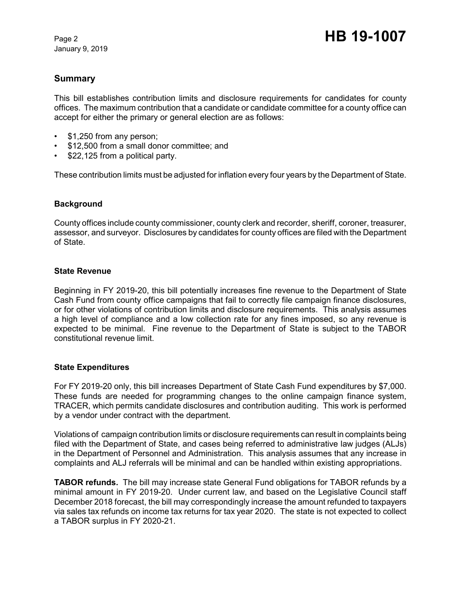January 9, 2019

# **Summary**

This bill establishes contribution limits and disclosure requirements for candidates for county offices. The maximum contribution that a candidate or candidate committee for a county office can accept for either the primary or general election are as follows:

- \$1,250 from any person;
- \$12,500 from a small donor committee; and
- \$22,125 from a political party.

These contribution limits must be adjusted for inflation every four years by the Department of State.

### **Background**

County offices include county commissioner, county clerk and recorder, sheriff, coroner, treasurer, assessor, and surveyor. Disclosures by candidates for county offices are filed with the Department of State.

#### **State Revenue**

Beginning in FY 2019-20, this bill potentially increases fine revenue to the Department of State Cash Fund from county office campaigns that fail to correctly file campaign finance disclosures, or for other violations of contribution limits and disclosure requirements. This analysis assumes a high level of compliance and a low collection rate for any fines imposed, so any revenue is expected to be minimal. Fine revenue to the Department of State is subject to the TABOR constitutional revenue limit.

#### **State Expenditures**

For FY 2019-20 only, this bill increases Department of State Cash Fund expenditures by \$7,000. These funds are needed for programming changes to the online campaign finance system, TRACER, which permits candidate disclosures and contribution auditing. This work is performed by a vendor under contract with the department.

Violations of campaign contribution limits or disclosure requirements can result in complaints being filed with the Department of State, and cases being referred to administrative law judges (ALJs) in the Department of Personnel and Administration. This analysis assumes that any increase in complaints and ALJ referrals will be minimal and can be handled within existing appropriations.

**TABOR refunds.** The bill may increase state General Fund obligations for TABOR refunds by a minimal amount in FY 2019-20. Under current law, and based on the Legislative Council staff December 2018 forecast, the bill may correspondingly increase the amount refunded to taxpayers via sales tax refunds on income tax returns for tax year 2020. The state is not expected to collect a TABOR surplus in FY 2020-21.